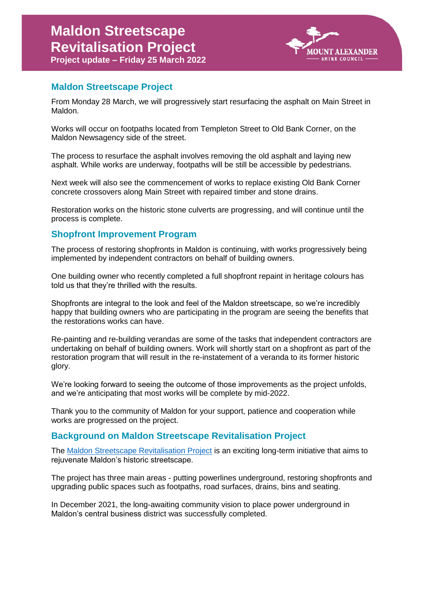

## **Maldon Streetscape Project**

From Monday 28 March, we will progressively start resurfacing the asphalt on Main Street in Maldon.

Works will occur on footpaths located from Templeton Street to Old Bank Corner, on the Maldon Newsagency side of the street.

The process to resurface the asphalt involves removing the old asphalt and laying new asphalt. While works are underway, footpaths will be still be accessible by pedestrians.

Next week will also see the commencement of works to replace existing Old Bank Corner concrete crossovers along Main Street with repaired timber and stone drains.

Restoration works on the historic stone culverts are progressing, and will continue until the process is complete.

## **Shopfront Improvement Program**

The process of restoring shopfronts in Maldon is continuing, with works progressively being implemented by independent contractors on behalf of building owners.

One building owner who recently completed a full shopfront repaint in heritage colours has told us that they're thrilled with the results.

Shopfronts are integral to the look and feel of the Maldon streetscape, so we're incredibly happy that building owners who are participating in the program are seeing the benefits that the restorations works can have.

Re-painting and re-building verandas are some of the tasks that independent contractors are undertaking on behalf of building owners. Work will shortly start on a shopfront as part of the restoration program that will result in the re-instatement of a veranda to its former historic glory.

We're looking forward to seeing the outcome of those improvements as the project unfolds, and we're anticipating that most works will be complete by mid-2022.

Thank you to the community of Maldon for your support, patience and cooperation while works are progressed on the project.

## **Background on Maldon Streetscape Revitalisation Project**

The [Maldon Streetscape Revitalisation Project](http://www.mountalexander.vic.gov.au/MaldonStreetscapeProject) is an exciting long-term initiative that aims to rejuvenate Maldon's historic streetscape.

The project has three main areas - putting powerlines underground, restoring shopfronts and upgrading public spaces such as footpaths, road surfaces, drains, bins and seating.

In December 2021, the long-awaiting community vision to place power underground in Maldon's central business district was successfully completed.